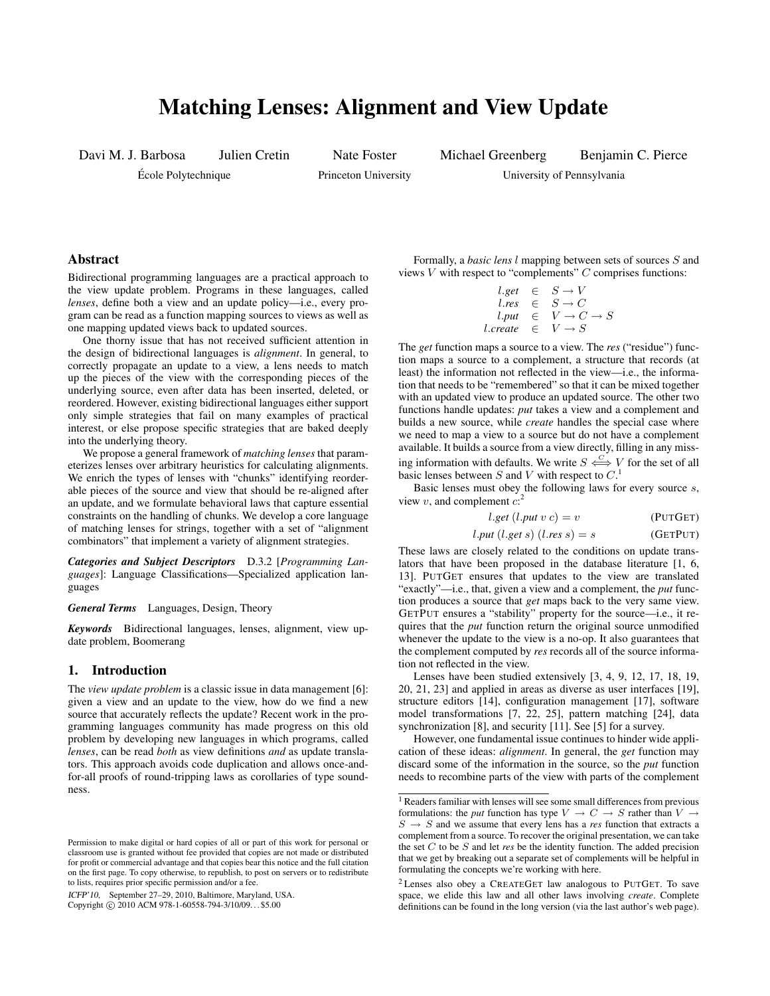# Matching Lenses: Alignment and View Update

Davi M. J. Barbosa Julien Cretin

Nate Foster Princeton University

Michael Greenberg Benjamin C. Pierce University of Pennsylvania

Ecole Polytechnique ´

# Abstract

Bidirectional programming languages are a practical approach to the view update problem. Programs in these languages, called *lenses*, define both a view and an update policy—i.e., every program can be read as a function mapping sources to views as well as one mapping updated views back to updated sources.

One thorny issue that has not received sufficient attention in the design of bidirectional languages is *alignment*. In general, to correctly propagate an update to a view, a lens needs to match up the pieces of the view with the corresponding pieces of the underlying source, even after data has been inserted, deleted, or reordered. However, existing bidirectional languages either support only simple strategies that fail on many examples of practical interest, or else propose specific strategies that are baked deeply into the underlying theory.

We propose a general framework of *matching lenses* that parameterizes lenses over arbitrary heuristics for calculating alignments. We enrich the types of lenses with "chunks" identifying reorderable pieces of the source and view that should be re-aligned after an update, and we formulate behavioral laws that capture essential constraints on the handling of chunks. We develop a core language of matching lenses for strings, together with a set of "alignment combinators" that implement a variety of alignment strategies.

*Categories and Subject Descriptors* D.3.2 [*Programming Languages*]: Language Classifications—Specialized application languages

#### *General Terms* Languages, Design, Theory

*Keywords* Bidirectional languages, lenses, alignment, view update problem, Boomerang

# 1. Introduction

The *view update problem* is a classic issue in data management [\[6\]](#page-11-0): given a view and an update to the view, how do we find a new source that accurately reflects the update? Recent work in the programming languages community has made progress on this old problem by developing new languages in which programs, called *lenses*, can be read *both* as view definitions *and* as update translators. This approach avoids code duplication and allows once-andfor-all proofs of round-tripping laws as corollaries of type soundness.

ICFP'10, September 27–29, 2010, Baltimore, Maryland, USA.

Copyright *⃝*c 2010 ACM 978-1-60558-794-3/10/09. . . \$5.00

Formally, a *basic lens l* mapping between sets of sources *S* and views *V* with respect to "complements" *C* comprises functions:

$$
l.get \in S \to V
$$
  
\n
$$
l.res \in S \to C
$$
  
\n
$$
l.put \in V \to C \to S
$$
  
\n
$$
l.create \in V \to S
$$

The *get* function maps a source to a view. The *res* ("residue") function maps a source to a complement, a structure that records (at least) the information not reflected in the view—i.e., the information that needs to be "remembered" so that it can be mixed together with an updated view to produce an updated source. The other two functions handle updates: *put* takes a view and a complement and builds a new source, while *create* handles the special case where we need to map a view to a source but do not have a complement available. It builds a source from a view directly, filling in any missing information with defaults. We write  $S \stackrel{C}{\iff} V$  for the set of all basic lenses between *S* and *V* with respect to *C*. [1](#page-0-0)

Basic lenses must obey the following laws for every source *s*, view  $v$ , and complement  $c$ <sup>[2](#page-0-1)</sup>

$$
l.get (l.put v c) = v
$$
 (PUTGET)

$$
l.put (l.get s) (l.res s) = s
$$
 (GETPUT)

These laws are closely related to the conditions on update translators that have been proposed in the database literature [\[1,](#page-11-1) [6,](#page-11-0) [13\]](#page-11-2). PUTGET ensures that updates to the view are translated "exactly"—i.e., that, given a view and a complement, the *put* function produces a source that *get* maps back to the very same view. GETPUT ensures a "stability" property for the source—i.e., it requires that the *put* function return the original source unmodified whenever the update to the view is a no-op. It also guarantees that the complement computed by *res* records all of the source information not reflected in the view.

Lenses have been studied extensively [\[3,](#page-11-3) [4,](#page-11-4) [9,](#page-11-5) [12,](#page-11-6) [17,](#page-11-7) [18,](#page-11-8) [19,](#page-11-9) [20,](#page-11-10) [21,](#page-11-11) [23\]](#page-11-12) and applied in areas as diverse as user interfaces [\[19\]](#page-11-9), structure editors [\[14\]](#page-11-13), configuration management [\[17\]](#page-11-7), software model transformations [\[7,](#page-11-14) [22,](#page-11-15) [25\]](#page-11-16), pattern matching [\[24\]](#page-11-17), data synchronization [\[8\]](#page-11-18), and security [\[11\]](#page-11-19). See [\[5\]](#page-11-20) for a survey.

However, one fundamental issue continues to hinder wide application of these ideas: *alignment*. In general, the *get* function may discard some of the information in the source, so the *put* function needs to recombine parts of the view with parts of the complement

Permission to make digital or hard copies of all or part of this work for personal or classroom use is granted without fee provided that copies are not made or distributed for profit or commercial advantage and that copies bear this notice and the full citation on the first page. To copy otherwise, to republish, to post on servers or to redistribute to lists, requires prior specific permission and/or a fee.

<span id="page-0-0"></span> $^{\rm 1}$  Readers familiar with lenses will see some small differences from previous formulations: the *put* function has type  $V \rightarrow C \rightarrow S$  rather than  $V \rightarrow$  $S \rightarrow S$  and we assume that every lens has a *res* function that extracts a complement from a source. To recover the original presentation, we can take the set *C* to be *S* and let *res* be the identity function. The added precision that we get by breaking out a separate set of complements will be helpful in formulating the concepts we're working with here.

<span id="page-0-1"></span><sup>2</sup> Lenses also obey a CREATEGET law analogous to PUTGET. To save space, we elide this law and all other laws involving *create*. Complete definitions can be found in the long version (via the last author's web page).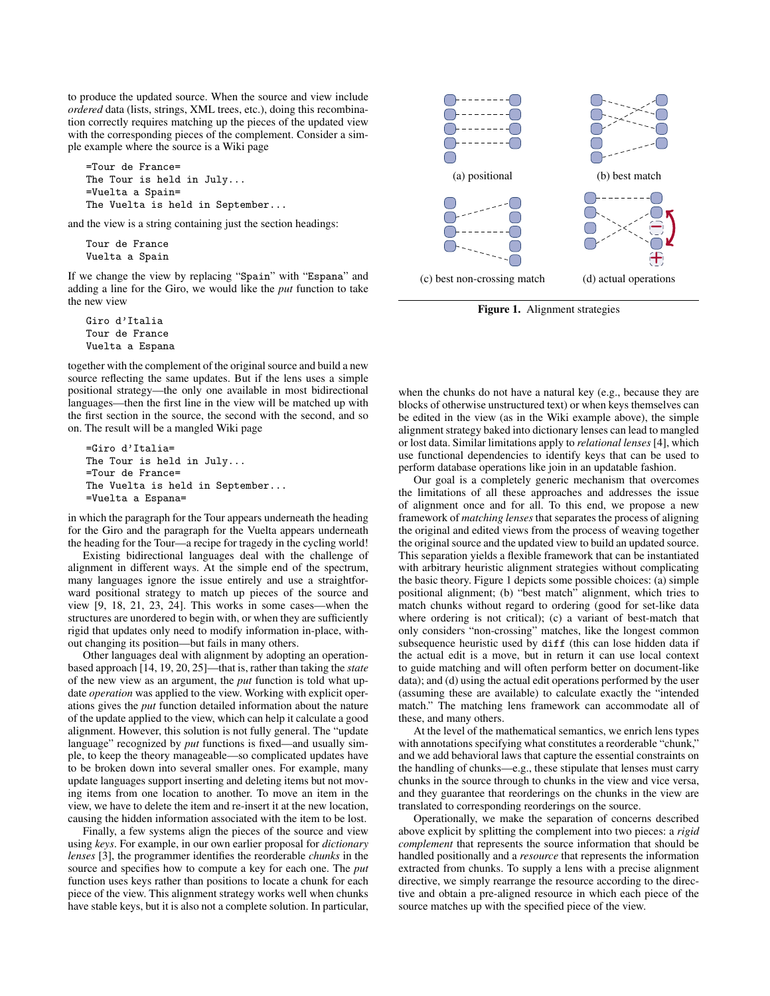to produce the updated source. When the source and view include *ordered* data (lists, strings, XML trees, etc.), doing this recombination correctly requires matching up the pieces of the updated view with the corresponding pieces of the complement. Consider a simple example where the source is a Wiki page

=Tour de France= The Tour is held in July... =Vuelta a Spain= The Vuelta is held in September...

and the view is a string containing just the section headings:

Tour de France Vuelta a Spain

If we change the view by replacing "Spain" with "Espana" and adding a line for the Giro, we would like the *put* function to take the new view

Giro d'Italia Tour de France Vuelta a Espana

together with the complement of the original source and build a new source reflecting the same updates. But if the lens uses a simple positional strategy—the only one available in most bidirectional languages—then the first line in the view will be matched up with the first section in the source, the second with the second, and so on. The result will be a mangled Wiki page

```
=Giro d'Italia=
The Tour is held in July...
=Tour de France=
The Vuelta is held in September...
=Vuelta a Espana=
```
in which the paragraph for the Tour appears underneath the heading for the Giro and the paragraph for the Vuelta appears underneath the heading for the Tour—a recipe for tragedy in the cycling world!

Existing bidirectional languages deal with the challenge of alignment in different ways. At the simple end of the spectrum, many languages ignore the issue entirely and use a straightforward positional strategy to match up pieces of the source and view [\[9,](#page-11-5) [18,](#page-11-8) [21,](#page-11-11) [23,](#page-11-12) [24\]](#page-11-17). This works in some cases—when the structures are unordered to begin with, or when they are sufficiently rigid that updates only need to modify information in-place, without changing its position—but fails in many others.

Other languages deal with alignment by adopting an operationbased approach [\[14,](#page-11-13) [19,](#page-11-9) [20,](#page-11-10) [25\]](#page-11-16)—that is, rather than taking the *state* of the new view as an argument, the *put* function is told what update *operation* was applied to the view. Working with explicit operations gives the *put* function detailed information about the nature of the update applied to the view, which can help it calculate a good alignment. However, this solution is not fully general. The "update language" recognized by *put* functions is fixed—and usually simple, to keep the theory manageable—so complicated updates have to be broken down into several smaller ones. For example, many update languages support inserting and deleting items but not moving items from one location to another. To move an item in the view, we have to delete the item and re-insert it at the new location, causing the hidden information associated with the item to be lost.

Finally, a few systems align the pieces of the source and view using *keys*. For example, in our own earlier proposal for *dictionary lenses* [\[3\]](#page-11-3), the programmer identifies the reorderable *chunks* in the source and specifies how to compute a key for each one. The *put* function uses keys rather than positions to locate a chunk for each piece of the view. This alignment strategy works well when chunks have stable keys, but it is also not a complete solution. In particular,



<span id="page-1-0"></span>Figure 1. Alignment strategies

when the chunks do not have a natural key (e.g., because they are blocks of otherwise unstructured text) or when keys themselves can be edited in the view (as in the Wiki example above), the simple alignment strategy baked into dictionary lenses can lead to mangled or lost data. Similar limitations apply to *relational lenses* [\[4\]](#page-11-4), which use functional dependencies to identify keys that can be used to perform database operations like join in an updatable fashion.

Our goal is a completely generic mechanism that overcomes the limitations of all these approaches and addresses the issue of alignment once and for all. To this end, we propose a new framework of *matching lenses* that separates the process of aligning the original and edited views from the process of weaving together the original source and the updated view to build an updated source. This separation yields a flexible framework that can be instantiated with arbitrary heuristic alignment strategies without complicating the basic theory. Figure [1](#page-1-0) depicts some possible choices: (a) simple positional alignment; (b) "best match" alignment, which tries to match chunks without regard to ordering (good for set-like data where ordering is not critical); (c) a variant of best-match that only considers "non-crossing" matches, like the longest common subsequence heuristic used by diff (this can lose hidden data if the actual edit is a move, but in return it can use local context to guide matching and will often perform better on document-like data); and (d) using the actual edit operations performed by the user (assuming these are available) to calculate exactly the "intended match." The matching lens framework can accommodate all of these, and many others.

At the level of the mathematical semantics, we enrich lens types with annotations specifying what constitutes a reorderable "chunk," and we add behavioral laws that capture the essential constraints on the handling of chunks—e.g., these stipulate that lenses must carry chunks in the source through to chunks in the view and vice versa, and they guarantee that reorderings on the chunks in the view are translated to corresponding reorderings on the source.

Operationally, we make the separation of concerns described above explicit by splitting the complement into two pieces: a *rigid complement* that represents the source information that should be handled positionally and a *resource* that represents the information extracted from chunks. To supply a lens with a precise alignment directive, we simply rearrange the resource according to the directive and obtain a pre-aligned resource in which each piece of the source matches up with the specified piece of the view.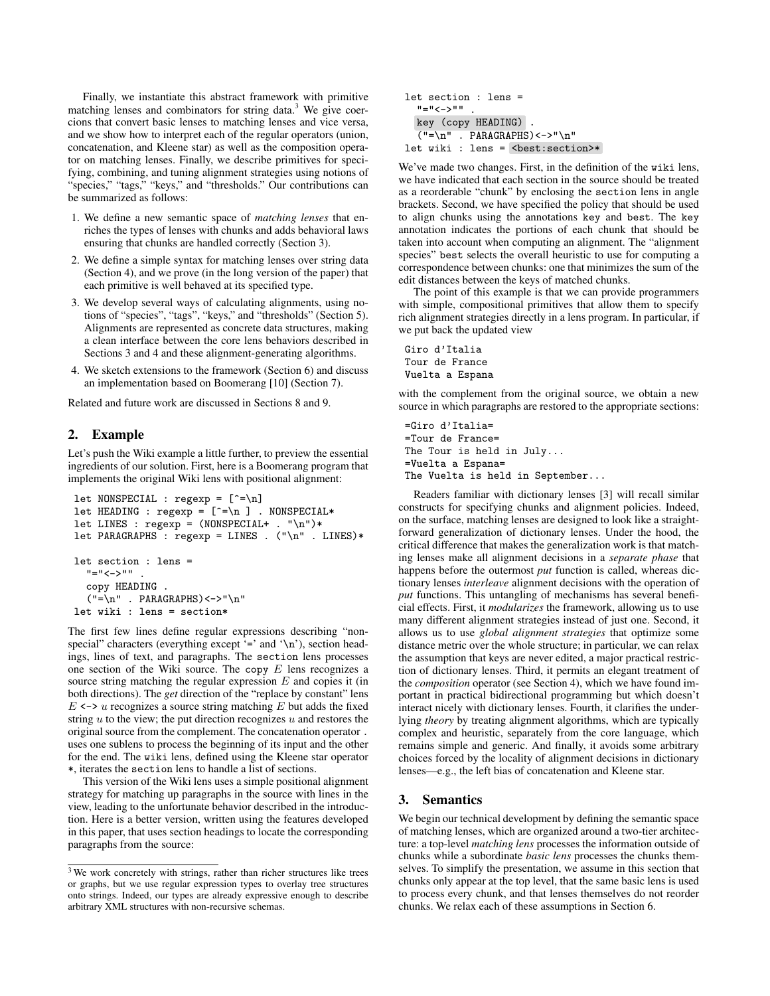Finally, we instantiate this abstract framework with primitive matching lenses and combinators for string data. $3$  We give coercions that convert basic lenses to matching lenses and vice versa, and we show how to interpret each of the regular operators (union, concatenation, and Kleene star) as well as the composition operator on matching lenses. Finally, we describe primitives for specifying, combining, and tuning alignment strategies using notions of "species," "tags," "keys," and "thresholds." Our contributions can be summarized as follows:

- 1. We define a new semantic space of *matching lenses* that enriches the types of lenses with chunks and adds behavioral laws ensuring that chunks are handled correctly (Section [3\)](#page-2-1).
- 2. We define a simple syntax for matching lenses over string data (Section [4\)](#page-4-0), and we prove (in the long version of the paper) that each primitive is well behaved at its specified type.
- 3. We develop several ways of calculating alignments, using notions of "species", "tags", "keys," and "thresholds" (Section [5\)](#page-7-0). Alignments are represented as concrete data structures, making a clean interface between the core lens behaviors described in Sections [3](#page-2-1) and [4](#page-4-0) and these alignment-generating algorithms.
- 4. We sketch extensions to the framework (Section [6\)](#page-8-0) and discuss an implementation based on Boomerang [\[10\]](#page-11-21) (Section [7\)](#page-10-0).

Related and future work are discussed in Sections [8](#page-10-1) and [9.](#page-10-2)

# 2. Example

Let's push the Wiki example a little further, to preview the essential ingredients of our solution. First, here is a Boomerang program that implements the original Wiki lens with positional alignment:

```
let NONSPECIAL : regexp = [^=\n]
let HEADING : regexp = [\hat{-}\nabla n] . NONSPECIAL*
let LINES : regexp = (NONSPECIAL+ . "\\n")*let PARAGRAPHS : regexp = LINES. ("\n" . LINES)*
let section : lens =
  "="<->" "copy HEADING .
  (''=\n' . PARAGRAPHS) <->"\n"
```

```
let wiki : lens = section*
```
The first few lines define regular expressions describing "nonspecial" characters (everything except '=' and '\n'), section headings, lines of text, and paragraphs. The section lens processes one section of the Wiki source. The copy *E* lens recognizes a source string matching the regular expression *E* and copies it (in both directions). The *get* direction of the "replace by constant" lens *E* <-> *u* recognizes a source string matching *E* but adds the fixed string *u* to the view; the put direction recognizes *u* and restores the original source from the complement. The concatenation operator . uses one sublens to process the beginning of its input and the other for the end. The wiki lens, defined using the Kleene star operator \*, iterates the section lens to handle a list of sections.

This version of the Wiki lens uses a simple positional alignment strategy for matching up paragraphs in the source with lines in the view, leading to the unfortunate behavior described in the introduction. Here is a better version, written using the features developed in this paper, that uses section headings to locate the corresponding paragraphs from the source:

```
let section : lens =
  "="-"<-".
.key (copy HEADING) .
  ("=\n" . PARAGRAPHS) <->"\n"
let wiki : lens = <br />best:section>*
```
We've made two changes. First, in the definition of the wiki lens, we have indicated that each section in the source should be treated as a reorderable "chunk" by enclosing the section lens in angle brackets. Second, we have specified the policy that should be used to align chunks using the annotations key and best. The key annotation indicates the portions of each chunk that should be taken into account when computing an alignment. The "alignment species" best selects the overall heuristic to use for computing a correspondence between chunks: one that minimizes the sum of the edit distances between the keys of matched chunks.

The point of this example is that we can provide programmers with simple, compositional primitives that allow them to specify rich alignment strategies directly in a lens program. In particular, if we put back the updated view

Giro d'Italia Tour de France Vuelta a Espana

with the complement from the original source, we obtain a new source in which paragraphs are restored to the appropriate sections:

```
=Giro d'Italia=
=Tour de France=
The Tour is held in July...
=Vuelta a Espana=
The Vuelta is held in September...
```
Readers familiar with dictionary lenses [\[3\]](#page-11-3) will recall similar constructs for specifying chunks and alignment policies. Indeed, on the surface, matching lenses are designed to look like a straightforward generalization of dictionary lenses. Under the hood, the critical difference that makes the generalization work is that matching lenses make all alignment decisions in a *separate phase* that happens before the outermost *put* function is called, whereas dictionary lenses *interleave* alignment decisions with the operation of *put* functions. This untangling of mechanisms has several beneficial effects. First, it *modularizes* the framework, allowing us to use many different alignment strategies instead of just one. Second, it allows us to use *global alignment strategies* that optimize some distance metric over the whole structure; in particular, we can relax the assumption that keys are never edited, a major practical restriction of dictionary lenses. Third, it permits an elegant treatment of the *composition* operator (see Section [4\)](#page-4-0), which we have found important in practical bidirectional programming but which doesn't interact nicely with dictionary lenses. Fourth, it clarifies the underlying *theory* by treating alignment algorithms, which are typically complex and heuristic, separately from the core language, which remains simple and generic. And finally, it avoids some arbitrary choices forced by the locality of alignment decisions in dictionary lenses—e.g., the left bias of concatenation and Kleene star.

## <span id="page-2-1"></span>3. Semantics

We begin our technical development by defining the semantic space of matching lenses, which are organized around a two-tier architecture: a top-level *matching lens* processes the information outside of chunks while a subordinate *basic lens* processes the chunks themselves. To simplify the presentation, we assume in this section that chunks only appear at the top level, that the same basic lens is used to process every chunk, and that lenses themselves do not reorder chunks. We relax each of these assumptions in Section [6.](#page-8-0)

<span id="page-2-0"></span><sup>&</sup>lt;sup>3</sup> We work concretely with strings, rather than richer structures like trees or graphs, but we use regular expression types to overlay tree structures onto strings. Indeed, our types are already expressive enough to describe arbitrary XML structures with non-recursive schemas.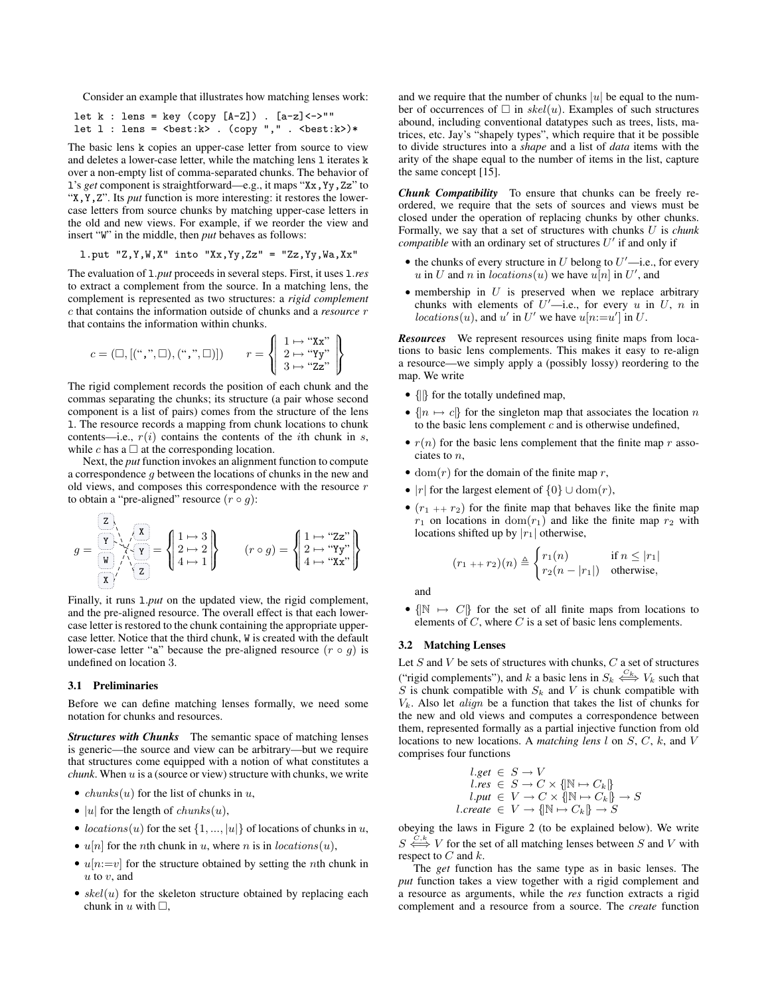Consider an example that illustrates how matching lenses work:

$$
let k : lens = key (copy [A-Z]) . [a-z] <->""
$$
\n
$$
let 1 : lens = < best: k> . (copy ", " . < best: k>)*
$$

The basic lens k copies an upper-case letter from source to view and deletes a lower-case letter, while the matching lens l iterates k over a non-empty list of comma-separated chunks. The behavior of l's *get* component is straightforward—e.g., it maps "Xx,Yy,Zz" to "X,Y,Z". Its *put* function is more interesting: it restores the lowercase letters from source chunks by matching upper-case letters in the old and new views. For example, if we reorder the view and insert "W" in the middle, then *put* behaves as follows:

l.put "Z,Y,W,X" into "Xx,Yy,Zz" = "Zz,Yy,Wa,Xx"

The evaluation of l*.put* proceeds in several steps. First, it uses l*.res* to extract a complement from the source. In a matching lens, the complement is represented as two structures: a *rigid complement c* that contains the information outside of chunks and a *resource r* that contains the information within chunks.

$$
c = (\Box, [(`", \cdots\Box), (``, \cdots\Box)]) \qquad r = \left\{ \begin{array}{l} 1 \mapsto \text{``Xx''} \\ 2 \mapsto \text{``Yy''} \\ 3 \mapsto \text{``ZZ''} \end{array} \right\}
$$

The rigid complement records the position of each chunk and the commas separating the chunks; its structure (a pair whose second component is a list of pairs) comes from the structure of the lens l. The resource records a mapping from chunk locations to chunk contents—i.e.,  $r(i)$  contains the contents of the *i*th chunk in *s*, while  $c$  has a  $\Box$  at the corresponding location.

Next, the *put* function invokes an alignment function to compute a correspondence *g* between the locations of chunks in the new and old views, and composes this correspondence with the resource *r* to obtain a "pre-aligned" resource  $(r \circ q)$ :

$$
g = \frac{\frac{z}{\sqrt{x}}}{\frac{z}{\sqrt{x}}}
$$

$$
= \left\{ \frac{1 \mapsto 3}{2 \mapsto 2} \right\} \qquad (r \circ g) = \left\{ \frac{1 \mapsto "Zz"}{2 \mapsto "y"} \right\}
$$

Finally, it runs 1.*put* on the updated view, the rigid complement, and the pre-aligned resource. The overall effect is that each lowercase letter is restored to the chunk containing the appropriate uppercase letter. Notice that the third chunk, W is created with the default lower-case letter "a" because the pre-aligned resource  $(r \circ q)$  is undefined on location 3.

#### 3.1 Preliminaries

Before we can define matching lenses formally, we need some notation for chunks and resources.

*Structures with Chunks* The semantic space of matching lenses is generic—the source and view can be arbitrary—but we require that structures come equipped with a notion of what constitutes a *chunk*. When *u* is a (source or view) structure with chunks, we write

- $\textit{chunks}(u)$  for the list of chunks in  $u$ ,
- $|u|$  for the length of *chunks* $(u)$ ,
- *locations*(*u*) for the set  $\{1, ..., |u|\}$  of locations of chunks in *u*,
- $u[n]$  for the *n*th chunk in *u*, where *n* is in *locations* $(u)$ ,
- $u[n:=v]$  for the structure obtained by setting the *n*th chunk in *u* to *v*, and
- $skel(u)$  for the skeleton structure obtained by replacing each chunk in  $u$  with  $\Box$ ,

and we require that the number of chunks  $|u|$  be equal to the number of occurrences of  $\Box$  in *skel*(*u*). Examples of such structures abound, including conventional datatypes such as trees, lists, matrices, etc. Jay's "shapely types", which require that it be possible to divide structures into a *shape* and a list of *data* items with the arity of the shape equal to the number of items in the list, capture the same concept [\[15\]](#page-11-22).

*Chunk Compatibility* To ensure that chunks can be freely reordered, we require that the sets of sources and views must be closed under the operation of replacing chunks by other chunks. Formally, we say that a set of structures with chunks *U* is *chunk compatible* with an ordinary set of structures *U ′* if and only if

- *•* the chunks of every structure in *U* belong to *U ′*—i.e., for every *u* in *U* and *n* in *locations*(*u*) we have  $u[n]$  in *U*', and
- *•* membership in *U* is preserved when we replace arbitrary chunks with elements of  $U'$ —i.e., for every *u* in *U*, *n* in *locations*(*u*), and *u*<sup> $\prime$ </sup> in *U*<sup> $\prime$ </sup> we have  $u[n:=u']$  in *U*.

*Resources* We represent resources using finite maps from locations to basic lens complements. This makes it easy to re-align a resource—we simply apply a (possibly lossy) reordering to the map. We write

- *• {||}* for the totally undefined map,
- $\{ |n \mapsto c| \}$  for the singleton map that associates the location *n* to the basic lens complement *c* and is otherwise undefined,
- $r(n)$  for the basic lens complement that the finite map  $r$  associates to *n*,
- dom( $r$ ) for the domain of the finite map  $r$ ,
- *• |r|* for the largest element of *{*0*} ∪* dom(*r*),
- $(r_1 + r_2)$  for the finite map that behaves like the finite map  $r_1$  on locations in dom( $r_1$ ) and like the finite map  $r_2$  with locations shifted up by *|r*1*|* otherwise,

$$
(r_1 + r_2)(n) \triangleq \begin{cases} r_1(n) & \text{if } n \leq |r_1| \\ r_2(n - |r_1|) & \text{otherwise,} \end{cases}
$$

and

•  $\{ \mathbb{N} \mapsto C \}$  for the set of all finite maps from locations to elements of *C*, where *C* is a set of basic lens complements.

#### 3.2 Matching Lenses

Let *S* and *V* be sets of structures with chunks, *C* a set of structures ("rigid complements"), and *k* a basic lens in  $S_k \leftrightarrow V_k$  such that *S* is chunk compatible with *S<sup>k</sup>* and *V* is chunk compatible with *Vk*. Also let *align* be a function that takes the list of chunks for the new and old views and computes a correspondence between them, represented formally as a partial injective function from old locations to new locations. A *matching lens l* on *S*, *C*, *k*, and *V* comprises four functions

$$
l.get \in S \to V
$$
  
\n
$$
lres \in S \to C \times {\{\mathbb{N} \mapsto C_k\}}
$$
  
\n
$$
l.put \in V \to C \times {\{\mathbb{N} \mapsto C_k\}} \to S
$$
  
\n
$$
l.create \in V \to {\{\mathbb{N} \mapsto C_k\}} \to S
$$

obeying the laws in Figure [2](#page-4-1) (to be explained below). We write  $S \stackrel{C,k}{\iff} V$  for the set of all matching lenses between *S* and *V* with respect to *C* and *k*.

The *get* function has the same type as in basic lenses. The *put* function takes a view together with a rigid complement and a resource as arguments, while the *res* function extracts a rigid complement and a resource from a source. The *create* function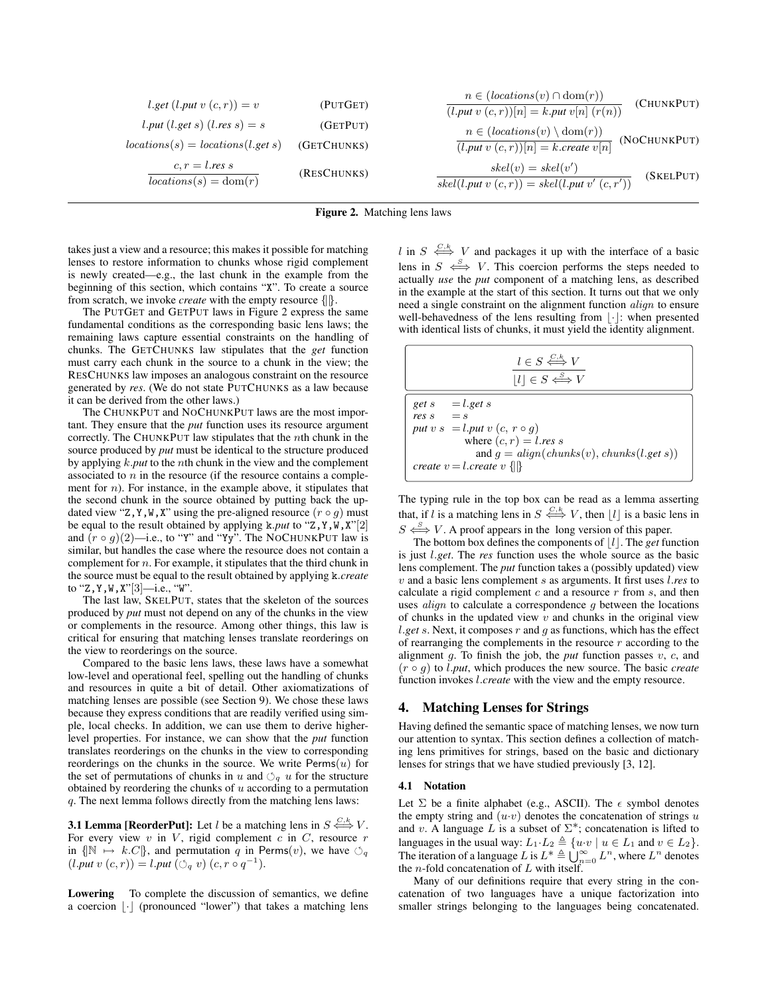| l.get $(l. put v(c,r)) = v$                                          | (PUTGET)                | $n \in (locations(v) \cap dom(r))$<br>(CHUNKPUT)<br>$(l. put v(c,r))[n] = k. put v[n] (r(n))$               |
|----------------------------------------------------------------------|-------------------------|-------------------------------------------------------------------------------------------------------------|
| l.put (l.get s) (l.res s) = s<br>$locations(s) = locations(l.get s)$ | (GETPUT)<br>(GETCHUNKS) | $n \in (locations(v) \setminus dom(r))$<br>(NOCHUNKPUT)<br>$\overline{(l.put\,v\,(c,r))[n]=k.create\,v[n]}$ |
| $c, r = l$ res s<br>$locations(s) = dom(r)$                          | (RESCHUNKS)             | $skel(v) = skel(v')$<br>(SKELPUT)<br>$skel(l.put v(c,r)) = skel(l.put v'(c,r'))$                            |



takes just a view and a resource; this makes it possible for matching lenses to restore information to chunks whose rigid complement is newly created—e.g., the last chunk in the example from the beginning of this section, which contains "X". To create a source from scratch, we invoke *create* with the empty resource *{||}*.

The PUTGET and GETPUT laws in Figure [2](#page-4-1) express the same fundamental conditions as the corresponding basic lens laws; the remaining laws capture essential constraints on the handling of chunks. The GETCHUNKS law stipulates that the *get* function must carry each chunk in the source to a chunk in the view; the RESCHUNKS law imposes an analogous constraint on the resource generated by *res*. (We do not state PUTCHUNKS as a law because it can be derived from the other laws.)

The CHUNKPUT and NOCHUNKPUT laws are the most important. They ensure that the *put* function uses its resource argument correctly. The CHUNKPUT law stipulates that the *n*th chunk in the source produced by *put* must be identical to the structure produced by applying *k.put* to the *n*th chunk in the view and the complement associated to *n* in the resource (if the resource contains a complement for *n*). For instance, in the example above, it stipulates that the second chunk in the source obtained by putting back the updated view "Z, Y, W, X" using the pre-aligned resource  $(r \circ g)$  must be equal to the result obtained by applying k*.put* to "Z,Y,W,X"[2] and  $(r \circ g)(2)$ —i.e., to "Y" and "Yy". The NOCHUNKPUT law is similar, but handles the case where the resource does not contain a complement for *n*. For example, it stipulates that the third chunk in the source must be equal to the result obtained by applying k*.create* to "Z, Y, W, X" $[3]$ —i.e., "W".

The last law, SKELPUT, states that the skeleton of the sources produced by *put* must not depend on any of the chunks in the view or complements in the resource. Among other things, this law is critical for ensuring that matching lenses translate reorderings on the view to reorderings on the source.

Compared to the basic lens laws, these laws have a somewhat low-level and operational feel, spelling out the handling of chunks and resources in quite a bit of detail. Other axiomatizations of matching lenses are possible (see Section [9\)](#page-10-2). We chose these laws because they express conditions that are readily verified using simple, local checks. In addition, we can use them to derive higherlevel properties. For instance, we can show that the *put* function translates reorderings on the chunks in the view to corresponding reorderings on the chunks in the source. We write Perms(*u*) for the set of permutations of chunks in *u* and  $\circlearrowleft_q u$  for the structure obtained by reordering the chunks of *u* according to a permutation *q*. The next lemma follows directly from the matching lens laws:

<span id="page-4-2"></span>**3.1 Lemma [ReorderPut]:** Let *l* be a matching lens in  $S \overset{C,k}{\Longleftrightarrow} V$ . For every view *v* in *V*, rigid complement *c* in *C*, resource *r* in  $\{ \mathbb{N} \mapsto k.C \}$ , and permutation *q* in Perms(*v*), we have  $\circlearrowleft_q$  $(l. put \, v \, (c, r)) = l. put \, (\circlearrowleft_q v) \, (c, r \circ q^{-1}).$ 

Lowering To complete the discussion of semantics, we define a coercion  $|\cdot|$  (pronounced "lower") that takes a matching lens

<span id="page-4-1"></span>*l* in  $S \stackrel{C,k}{\iff} V$  and packages it up with the interface of a basic lens in  $S \iff V$ . This coercion performs the steps needed to actually *use* the *put* component of a matching lens, as described in the example at the start of this section. It turns out that we only need a single constraint on the alignment function *align* to ensure well-behavedness of the lens resulting from  $\cdot$ *|*: when presented with identical lists of chunks, it must yield the identity alignment.

| $l \in S \stackrel{\mathcal{L},k}{\Longleftrightarrow} V$   |
|-------------------------------------------------------------|
| $ l  \in S \stackrel{\mathcal{L},k}{\Longleftrightarrow} V$ |
| $get \ s \ = \ l.get \ s$                                   |
| $res \ s \ = \ s$                                           |
| $put \ v \ s \ = l.put \ v \ (c, \ r \circ g)$              |
| where $(c, r) = l.res \ s$                                  |
| order $v = l.create \ v \ \{\ \}$                           |

The typing rule in the top box can be read as a lemma asserting that, if *l* is a matching lens in  $S \stackrel{C,k}{\iff} V$ , then  $|l|$  is a basic lens in  $S \stackrel{S}{\iff} V$ . A proof appears in the long version of this paper.

The bottom box defines the components of *⌊l⌋*. The *get* function is just *l.get*. The *res* function uses the whole source as the basic lens complement. The *put* function takes a (possibly updated) view *v* and a basic lens complement *s* as arguments. It first uses *l.res* to calculate a rigid complement *c* and a resource *r* from *s*, and then uses *align* to calculate a correspondence *g* between the locations of chunks in the updated view *v* and chunks in the original view *l.get s*. Next, it composes *r* and *g* as functions, which has the effect of rearranging the complements in the resource *r* according to the alignment *g*. To finish the job, the *put* function passes *v*, *c*, and (*r ◦ g*) to *l.put*, which produces the new source. The basic *create* function invokes *l.create* with the view and the empty resource.

#### <span id="page-4-0"></span>4. Matching Lenses for Strings

Having defined the semantic space of matching lenses, we now turn our attention to syntax. This section defines a collection of matching lens primitives for strings, based on the basic and dictionary lenses for strings that we have studied previously [\[3,](#page-11-3) [12\]](#page-11-6).

#### 4.1 Notation

Let  $\Sigma$  be a finite alphabet (e.g., ASCII). The  $\epsilon$  symbol denotes the empty string and  $(u \cdot v)$  denotes the concatenation of strings  $u$ and *v*. A language *L* is a subset of  $\Sigma^*$ ; concatenation is lifted to languages in the usual way:  $L_1 \cdot L_2 \triangleq \{u \cdot v \mid u \in L_1 \text{ and } v \in L_2\}.$ The iteration of a language *L* is  $L^* \triangleq \bigcup_{n=0}^{\infty} L^n$ , where  $L^n$  denotes the *n*-fold concatenation of *L* with itself.

Many of our definitions require that every string in the concatenation of two languages have a unique factorization into smaller strings belonging to the languages being concatenated.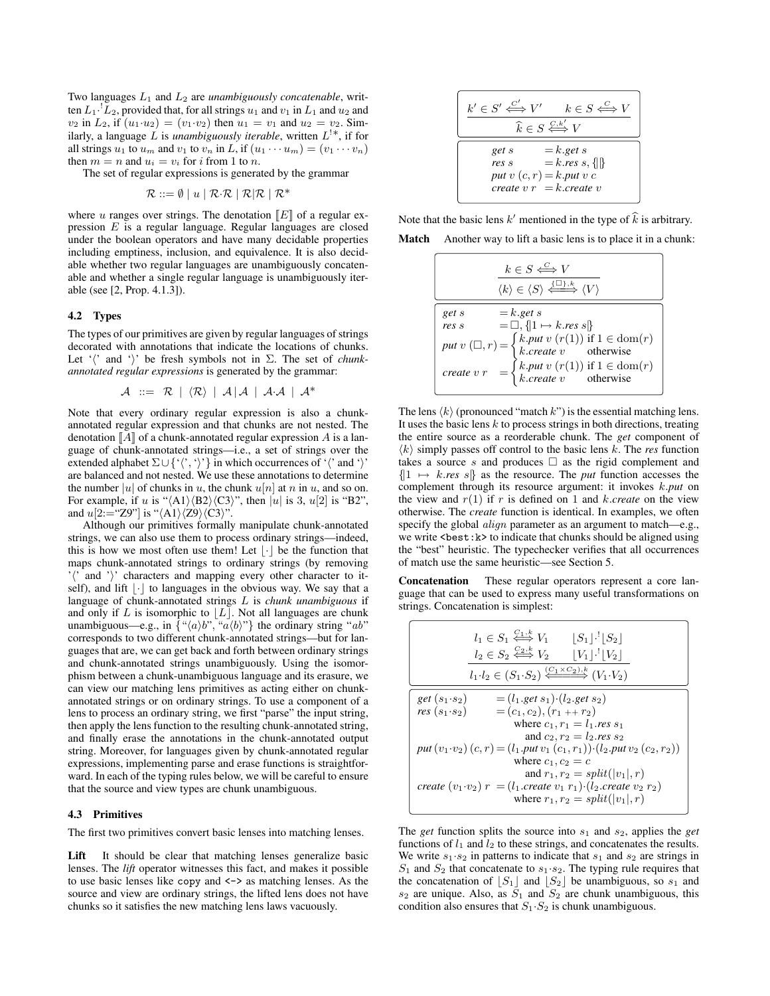Two languages *L*<sup>1</sup> and *L*<sup>2</sup> are *unambiguously concatenable*, written  $L_1$ <sup>1</sup> $L_2$ , provided that, for all strings  $u_1$  and  $v_1$  in  $L_1$  and  $u_2$  and  $v_2$  in  $L_2$ , if  $(u_1 \cdot u_2) = (v_1 \cdot v_2)$  then  $u_1 = v_1$  and  $u_2 = v_2$ . Similarly, a language  $\vec{L}$  is *unambiguously iterable*, written  $L^{1*}$ , if for all strings  $u_1$  to  $u_m$  and  $v_1$  to  $v_n$  in  $L$ , if  $(u_1 \cdots u_m) = (v_1 \cdots v_n)$ then  $m = n$  and  $u_i = v_i$  for *i* from 1 to *n*.

The set of regular expressions is generated by the grammar

$$
\mathcal{R} ::= \emptyset \mid u \mid \mathcal{R} \cdot \mathcal{R} \mid \mathcal{R} | \mathcal{R} \mid \mathcal{R}^*
$$

where  $u$  ranges over strings. The denotation  $\llbracket E \rrbracket$  of a regular expression *E* is a regular language. Regular languages are closed under the boolean operators and have many decidable properties including emptiness, inclusion, and equivalence. It is also decidable whether two regular languages are unambiguously concatenable and whether a single regular language is unambiguously iterable (see [\[2,](#page-11-23) Prop. 4.1.3]).

#### 4.2 Types

The types of our primitives are given by regular languages of strings decorated with annotations that indicate the locations of chunks. Let '*⟨*' and '*⟩*' be fresh symbols not in Σ. The set of *chunkannotated regular expressions* is generated by the grammar:

$$
\mathcal{A} \ ::= \ \mathcal{R} \ | \ \langle \mathcal{R} \rangle \ | \ \mathcal{A} | \mathcal{A} \ | \ \mathcal{A} \cdot \mathcal{A} \ | \ \mathcal{A}^*
$$

Note that every ordinary regular expression is also a chunkannotated regular expression and that chunks are not nested. The denotation  $\llbracket A \rrbracket$  of a chunk-annotated regular expression A is a language of chunk-annotated strings—i.e., a set of strings over the extended alphabet Σ*∪ {*'*⟨*'*,* '*⟩*'*}* in which occurrences of '*⟨*' and '*⟩*' are balanced and not nested. We use these annotations to determine the number  $|u|$  of chunks in *u*, the chunk  $u[n]$  at *n* in *u*, and so on. For example, if *u* is " $\langle A1 \rangle \langle B2 \rangle \langle C3 \rangle$ ", then |*u*| is 3, *u*[2] is "B2", and  $u[2:=``Z9"]$  is " $\langle A1 \rangle \langle Z9 \rangle \langle C3 \rangle$ ".

Although our primitives formally manipulate chunk-annotated strings, we can also use them to process ordinary strings—indeed, this is how we most often use them! Let *⌊·⌋* be the function that maps chunk-annotated strings to ordinary strings (by removing '*⟨*' and '*⟩*' characters and mapping every other character to itself), and lift  $|\cdot|$  to languages in the obvious way. We say that a language of chunk-annotated strings *L* is *chunk unambiguous* if and only if  $L$  is isomorphic to  $|L|$ . Not all languages are chunk unambiguous—e.g., in  $\{``\langle a \rangle b'', ``a \langle b \rangle"\}$  the ordinary string "*ab*" corresponds to two different chunk-annotated strings—but for languages that are, we can get back and forth between ordinary strings and chunk-annotated strings unambiguously. Using the isomorphism between a chunk-unambiguous language and its erasure, we can view our matching lens primitives as acting either on chunkannotated strings or on ordinary strings. To use a component of a lens to process an ordinary string, we first "parse" the input string, then apply the lens function to the resulting chunk-annotated string, and finally erase the annotations in the chunk-annotated output string. Moreover, for languages given by chunk-annotated regular expressions, implementing parse and erase functions is straightforward. In each of the typing rules below, we will be careful to ensure that the source and view types are chunk unambiguous.

#### 4.3 Primitives

The first two primitives convert basic lenses into matching lenses.

Lift It should be clear that matching lenses generalize basic lenses. The *lift* operator witnesses this fact, and makes it possible to use basic lenses like copy and <-> as matching lenses. As the source and view are ordinary strings, the lifted lens does not have chunks so it satisfies the new matching lens laws vacuously.

| $k' \in S' \stackrel{C'}{\iff} V'$                                                                                                         | $k \in S \iff V$ |
|--------------------------------------------------------------------------------------------------------------------------------------------|------------------|
| $\widehat{k} \in S \stackrel{\mathcal{C},k'}{\iff} V$                                                                                      |                  |
| $= k.get s$<br>get s<br>$= k \cdot res \cdot s, \{ \parallel \}$<br>res s<br>put $v(c, r) = k$ . put $v c$<br>create $v(r) = k$ . create v |                  |

Note that the basic lens  $k'$  mentioned in the type of  $k$  is arbitrary.

Match Another way to lift a basic lens is to place it in a chunk:

$$
\frac{k \in S \xleftarrow{C} V}{\langle k \rangle \in \langle S \rangle \xleftarrow{\langle \Box \rangle \cdot k} \langle V \rangle}
$$
\nget s = k.get s  
\nres s = \Box, \{1 \mapsto k-res s\}  
\nput v (\Box, r) = \begin{cases} k.put v (r(1)) \text{ if } 1 \in \text{dom}(r) \\ k.create v \text{ otherwise} \end{cases}  
\ncreate v r = \begin{cases} k.put v (r(1)) \text{ if } 1 \in \text{dom}(r) \\ k.create v \text{ otherwise} \end{cases}

The lens  $\langle k \rangle$  (pronounced "match  $k$ ") is the essential matching lens. It uses the basic lens *k* to process strings in both directions, treating the entire source as a reorderable chunk. The *get* component of *⟨k⟩* simply passes off control to the basic lens *k*. The *res* function takes a source  $s$  and produces  $\Box$  as the rigid complement and *{|*1 *7→ k.res s|}* as the resource. The *put* function accesses the complement through its resource argument: it invokes *k.put* on the view and  $r(1)$  if r is defined on 1 and *k*.*create* on the view otherwise. The *create* function is identical. In examples, we often specify the global *align* parameter as an argument to match—e.g., we write <br/>best:k> to indicate that chunks should be aligned using the "best" heuristic. The typechecker verifies that all occurrences of match use the same heuristic—see Section [5.](#page-7-0)

Concatenation These regular operators represent a core language that can be used to express many useful transformations on strings. Concatenation is simplest:

$$
l_1 \in S_1 \xleftrightarrow{\sum_{i=1}^{n} V_i} \qquad [S_1] \cdot [S_2]
$$
\n
$$
\frac{l_2 \in S_2 \xleftrightarrow{\sum_{i=1}^{n} V_2} \qquad [V_1] \cdot [V_2]}{l_1 \cdot l_2 \in (S_1 \cdot S_2) \xleftrightarrow{\sum_{i=1}^{n} V_i} \qquad (V_1 \cdot V_2)}
$$
\n
$$
l_2 \neq (S_1 \cdot S_2) \qquad \frac{V_1 \cdot V_2 \cdot (V_1 \cdot V_2)}{V_1 \cdot V_2 \cdot V_2}
$$
\n
$$
l_3 \neq (S_1 \cdot S_2) \qquad \frac{V_2 \cdot (S_1 \cdot S_2)}{V_1 \cdot V_2 \cdot V_1} \qquad (S_2 \cdot S_2)
$$
\n
$$
l_4 \neq (S_1 \cdot S_2) \qquad \frac{V_1 \cdot V_2 \cdot (S_1 \cdot S_2)}{V_1 \cdot V_2 \cdot V_1} \qquad (S_1 \cdot S_1 \cdot S_2)
$$
\n
$$
l_5 \neq (S_1 \cdot S_2)
$$
\n
$$
l_6 \neq (S_1 \cdot S_2)
$$
\n
$$
l_7 \neq (S_1 \cdot S_2)
$$
\n
$$
l_8 \neq (S_1 \cdot S_2)
$$
\n
$$
l_9 \neq (S_1 \cdot S_2)
$$
\n
$$
l_9 \neq (S_1 \cdot S_2)
$$
\n
$$
l_9 \neq (S_1 \cdot S_2)
$$
\n
$$
l_9 \neq (S_1 \cdot S_2)
$$
\n
$$
l_9 \neq (S_1 \cdot S_2)
$$
\n
$$
l_1 \cdot S_2
$$
\n
$$
l_2 \cdot S_2
$$
\n
$$
l_3 \neq (S_1 \cdot S_2)
$$
\n
$$
l_4 \neq (S_1 \cdot S_2)
$$
\n
$$
l_5 \neq (S_1 \cdot S_2)
$$
\n
$$
l_6 \neq (S_1 \cdot S_2)
$$
\n
$$
l_7 \neq (S_1 \cdot S_2)
$$
\n
$$
l
$$

The *get* function splits the source into  $s_1$  and  $s_2$ , applies the *get* functions of *l*<sup>1</sup> and *l*<sup>2</sup> to these strings, and concatenates the results. We write  $s_1 \cdot s_2$  in patterns to indicate that  $s_1$  and  $s_2$  are strings in  $S_1$  and  $S_2$  that concatenate to  $s_1 \tcdot s_2$ . The typing rule requires that the concatenation of  $[S_1]$  and  $[S_2]$  be unambiguous, so  $s_1$  and  $s_2$  are unique. Also, as  $\overline{S}_1$  and  $\overline{S}_2$  are chunk unambiguous, this condition also ensures that  $S_1 \cdot S_2$  is chunk unambiguous.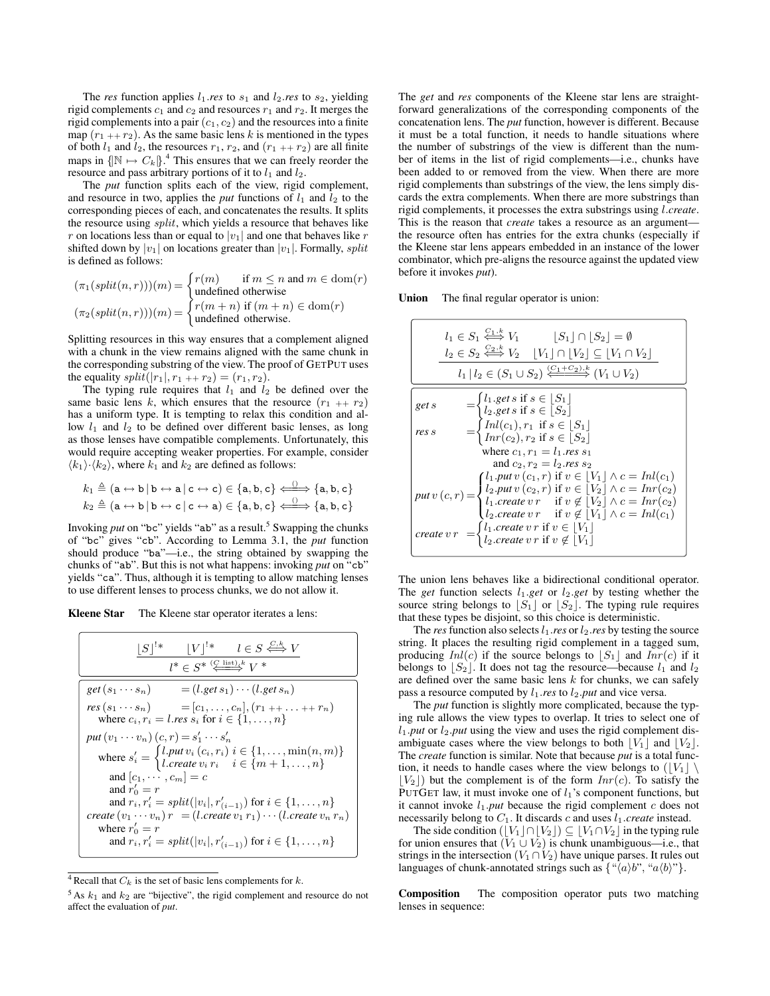The *res* function applies  $l_1$ *.res* to  $s_1$  and  $l_2$ *.res* to  $s_2$ *, yielding* rigid complements  $c_1$  and  $c_2$  and resources  $r_1$  and  $r_2$ . It merges the rigid complements into a pair  $(c_1, c_2)$  and the resources into a finite map  $(r_1 + r_2)$ . As the same basic lens *k* is mentioned in the types of both  $l_1$  and  $l_2$ , the resources  $r_1$ ,  $r_2$ , and  $(r_1 + r_2)$  are all finite maps in  $\{N \mapsto C_k\}$ .<sup>[4](#page-6-0)</sup> This ensures that we can freely reorder the resource and pass arbitrary portions of it to  $l_1$  and  $l_2$ .

The *put* function splits each of the view, rigid complement, and resource in two, applies the *put* functions of  $l_1$  and  $l_2$  to the corresponding pieces of each, and concatenates the results. It splits the resource using *split*, which yields a resource that behaves like *r* on locations less than or equal to  $|v_1|$  and one that behaves like *r* shifted down by  $|v_1|$  on locations greater than  $|v_1|$ . Formally, *split* is defined as follows:

$$
(\pi_1(split(n,r)))(m) = \begin{cases} r(m) & \text{if } m \le n \text{ and } m \in \text{dom}(r) \\ \text{undefined otherwise} \\ (\pi_2(split(n,r)))(m) = \begin{cases} r(m+n) & \text{if } (m+n) \in \text{dom}(r) \\ \text{undefined otherwise.} \end{cases}
$$

Splitting resources in this way ensures that a complement aligned with a chunk in the view remains aligned with the same chunk in the corresponding substring of the view. The proof of GETPUT uses the equality  $split(|r_1|, r_1 + r_2) = (r_1, r_2)$ .

The typing rule requires that  $l_1$  and  $l_2$  be defined over the same basic lens *k*, which ensures that the resource  $(r_1 + r_2)$ has a uniform type. It is tempting to relax this condition and allow  $l_1$  and  $l_2$  to be defined over different basic lenses, as long as those lenses have compatible complements. Unfortunately, this would require accepting weaker properties. For example, consider  $\langle k_1 \rangle \cdot \langle k_2 \rangle$ , where  $k_1$  and  $k_2$  are defined as follows:

$$
k_1 \triangleq (a \leftrightarrow b \mid b \leftrightarrow a \mid c \leftrightarrow c) \in \{a, b, c\} \stackrel{()}{\iff} \{a, b, c\}
$$

$$
k_2 \triangleq (a \leftrightarrow b \mid b \leftrightarrow c \mid c \leftrightarrow a) \in \{a, b, c\} \stackrel{()}{\iff} \{a, b, c\}
$$

Invoking *put* on "bc" yields "ab" as a result.<sup>[5](#page-6-1)</sup> Swapping the chunks of "bc" gives "cb". According to Lemma [3.1,](#page-4-2) the *put* function should produce "ba"—i.e., the string obtained by swapping the chunks of "ab". But this is not what happens: invoking *put* on "cb" yields "ca". Thus, although it is tempting to allow matching lenses to use different lenses to process chunks, we do not allow it.

Kleene Star The Kleene star operator iterates a lens:

| $ S ^{!*}$ $ V ^{!*}$ $l \in S \stackrel{C,k}{\iff} V$<br>$l^* \in S^* \stackrel{(C \; \text{list})_k}{\longrightarrow} V^*$                                 |  |  |
|--------------------------------------------------------------------------------------------------------------------------------------------------------------|--|--|
| $get(s_1 \cdots s_n)$ = $(l.get s_1) \cdots (l.get s_n)$                                                                                                     |  |  |
| $res(s_1 \cdots s_n) = [c_1, \ldots, c_n], (r_1 + \ldots + r_n)$<br>where $c_i, r_i = l$ res $s_i$ for $i \in \{1, \ldots, n\}$                              |  |  |
| put $(v_1 \cdots v_n)(c, r) = s'_1 \cdots s'_n$                                                                                                              |  |  |
| where $s'_{i} = \begin{cases} l.put \, v_{i} \, (c_{i}, r_{i}) \, i \in \{1, , \min(n, m)\} \\ l.create \, v_{i} \, r_{i} \, i \in \{m+1, , n\} \end{cases}$ |  |  |
| and $[c_1, \cdots, c_m] = c$                                                                                                                                 |  |  |
| and $r'_0 = r$                                                                                                                                               |  |  |
| and $r_i, r'_i = split( v_i , r'_{(i-1)})$ for $i \in \{1, , n\}$                                                                                            |  |  |
| create $(v_1 \cdots v_n) r = (l \cdot \text{create } v_1 r_1) \cdots (l \cdot \text{create } v_n r_n)$                                                       |  |  |
| where $r'_0 = r$                                                                                                                                             |  |  |
| and $r_i, r'_i = split( v_i , r'_{(i-1)})$ for $i \in \{1, , n\}$                                                                                            |  |  |

<span id="page-6-0"></span><sup>&</sup>lt;sup>4</sup> Recall that  $C_k$  is the set of basic lens complements for  $k$ .

The *get* and *res* components of the Kleene star lens are straightforward generalizations of the corresponding components of the concatenation lens. The *put* function, however is different. Because it must be a total function, it needs to handle situations where the number of substrings of the view is different than the number of items in the list of rigid complements—i.e., chunks have been added to or removed from the view. When there are more rigid complements than substrings of the view, the lens simply discards the extra complements. When there are more substrings than rigid complements, it processes the extra substrings using *l.create*. This is the reason that *create* takes a resource as an argument the resource often has entries for the extra chunks (especially if the Kleene star lens appears embedded in an instance of the lower combinator, which pre-aligns the resource against the updated view before it invokes *put*).

Union The final regular operator is union:

| $l_1 \in S_1 \stackrel{C_1,k}{\iff} V_1$ $[S_1] \cap [S_2] = \emptyset$<br>$l_2 \in S_2 \stackrel{C_2,k}{\iff} V_2 \quad  V_1  \cap  V_2  \subseteq  V_1 \cap V_2 $<br>$l_1   l_2 \in (S_1 \cup S_2) \xleftrightarrow{(C_1 + C_2), k} (V_1 \cup V_2)$                                                                                                                                                                             |  |  |
|-----------------------------------------------------------------------------------------------------------------------------------------------------------------------------------------------------------------------------------------------------------------------------------------------------------------------------------------------------------------------------------------------------------------------------------|--|--|
|                                                                                                                                                                                                                                                                                                                                                                                                                                   |  |  |
| $= \begin{cases} l_1.gets \text{ if } s \in \lfloor S_1 \rfloor \\ l_2.gets \text{ if } s \in \lfloor S_2 \rfloor \end{cases}$<br>get s                                                                                                                                                                                                                                                                                           |  |  |
| $=\begin{cases} Inl(c_1), r_1 \text{ if } s \in [S_1] \ Inr(c_2), r_2 \text{ if } s \in [S_2] \end{cases}$<br>res s                                                                                                                                                                                                                                                                                                               |  |  |
| where $c_1, r_1 = l_1$ res $s_1$                                                                                                                                                                                                                                                                                                                                                                                                  |  |  |
| and $c_2, r_2 = l_2$ res $s_2$                                                                                                                                                                                                                                                                                                                                                                                                    |  |  |
|                                                                                                                                                                                                                                                                                                                                                                                                                                   |  |  |
| $\textit{put~} v~(c,r) = \begin{cases} l_1.\textit{put}~v~(c_1,r)~\textit{if}~v \in \llbracket V_1 \rrbracket \wedge c = \textit{Inl}(c_1) \\ l_2.\textit{put}~v~(c_2,r)~\textit{if}~v \in \llbracket V_2 \rrbracket \wedge c = \textit{Inr}(c_2) \\ l_1.\textit{create~} v~r~\quad \textit{if}~v \not \in \llbracket V_2 \rrbracket \wedge c = \textit{Inr}(c_2) \\ l_2.\textit{create~} v~r~\quad \textit{if}~v \not \in \llbr$ |  |  |
| $\begin{cases} l_1 \text{.create } v \ r \text{ if } v \in [V_1] \\ l_2 \text{.create } v \ r \text{ if } v \notin [V_1] \end{cases}$<br>create v r                                                                                                                                                                                                                                                                               |  |  |

The union lens behaves like a bidirectional conditional operator. The *get* function selects  $l_1.get$  or  $l_2.get$  by testing whether the source string belongs to  $|S_1|$  or  $|S_2|$ . The typing rule requires that these types be disjoint, so this choice is deterministic.

The *res* function also selects  $l_1$ *.res* or  $l_2$ *.res* by testing the source string. It places the resulting rigid complement in a tagged sum, producing  $Inl(c)$  if the source belongs to  $|S_1|$  and  $Inr(c)$  if it belongs to  $|S_2|$ . It does not tag the resource—because  $l_1$  and  $l_2$ are defined over the same basic lens *k* for chunks, we can safely pass a resource computed by  $l_1$ *res* to  $l_2$ *. put* and vice versa.

The *put* function is slightly more complicated, because the typing rule allows the view types to overlap. It tries to select one of  $l_1$ *.put* or  $l_2$ *.put* using the view and uses the rigid complement disambiguate cases where the view belongs to both  $|V_1|$  and  $|V_2|$ . The *create* function is similar. Note that because *put* is a total function, it needs to handle cases where the view belongs to  $( [V_1] \setminus )$  $|V_2|$  but the complement is of the form  $Inr(c)$ . To satisfy the PUTGET law, it must invoke one of *l*1's component functions, but it cannot invoke  $l_1$ *put* because the rigid complement  $c$  does not necessarily belong to  $C_1$ . It discards  $c$  and uses  $l_1$ *. create* instead.

The side condition  $(|V_1| \cap |V_2|) \subseteq |V_1 \cap V_2|$  in the typing rule for union ensures that  $(V_1 \cup V_2)$  is chunk unambiguous—i.e., that strings in the intersection  $(V_1 \cap V_2)$  have unique parses. It rules out languages of chunk-annotated strings such as  $\{``\langle a \rangle b", "a \langle b \rangle"\}$ .

Composition The composition operator puts two matching lenses in sequence:

<span id="page-6-1"></span> $5$ As  $k_1$  and  $k_2$  are "bijective", the rigid complement and resource do not affect the evaluation of *put*.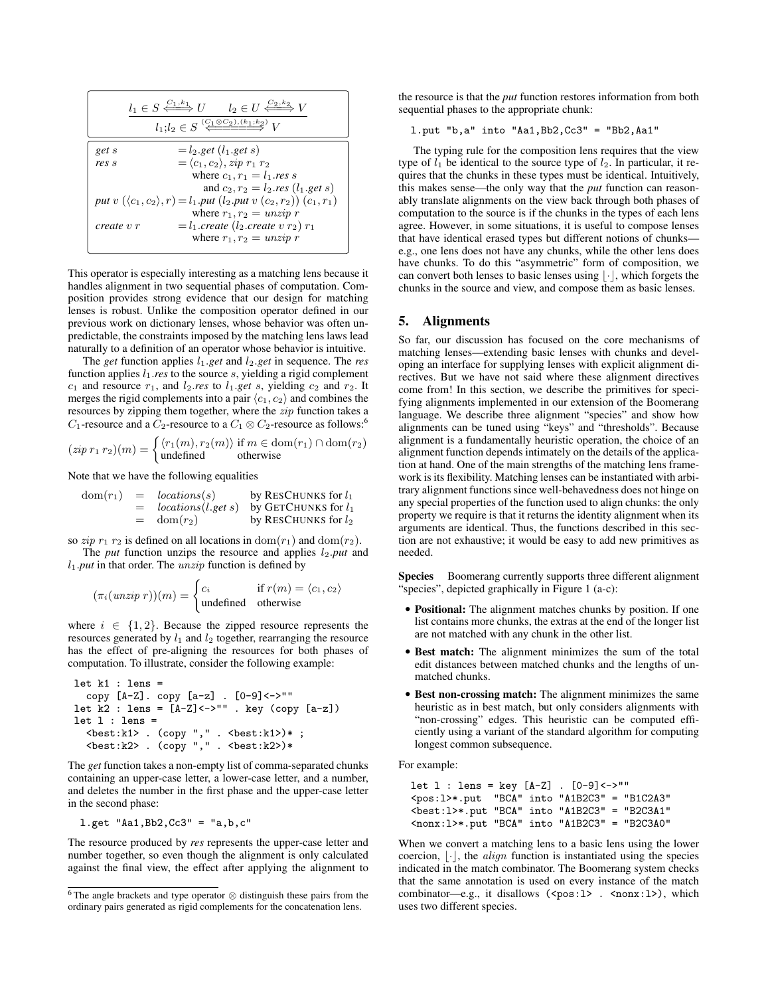| $l_1 \in S \xleftrightarrow{\mathcal{C}_1, k_1} U$<br>$l_2 \in U \stackrel{C_2,k_2}{\iff} V$<br>$l_1: l_2 \in S \stackrel{(C_1 \otimes C_2), (k_1; k_2)}{\xrightarrow{(-\infty)}} V$                                                                                                                                                                                                                         |
|--------------------------------------------------------------------------------------------------------------------------------------------------------------------------------------------------------------------------------------------------------------------------------------------------------------------------------------------------------------------------------------------------------------|
| $= l_2.get(l_1.get s)$<br>get s<br>$=\langle c_1,c_2\rangle, zip \r_1 r_2$<br>res s<br>where $c_1, r_1 = l_1$ res s<br>and $c_2, r_2 = l_2$ res ( $l_1$ get s)<br>put v $(\langle c_1, c_2 \rangle, r) = l_1$ . put $(l_2$ . put v $(c_2, r_2)$ $(c_1, r_1)$<br>where $r_1, r_2 = unzip r$<br>$=$ l <sub>1</sub> .create (l <sub>2</sub> .create v $r_2$ ) $r_1$<br>create v r<br>where $r_1, r_2 = unzip r$ |

This operator is especially interesting as a matching lens because it handles alignment in two sequential phases of computation. Composition provides strong evidence that our design for matching lenses is robust. Unlike the composition operator defined in our previous work on dictionary lenses, whose behavior was often unpredictable, the constraints imposed by the matching lens laws lead naturally to a definition of an operator whose behavior is intuitive.

The *get* function applies *l*1*.get* and *l*2*.get* in sequence. The *res* function applies  $l_1$ *.res* to the source  $s$ , yielding a rigid complement  $c_1$  and resource  $r_1$ , and  $l_2$ *.res* to  $l_1$ *.get s*, yielding  $c_2$  and  $r_2$ . It merges the rigid complements into a pair  $\langle c_1, c_2 \rangle$  and combines the resources by zipping them together, where the *zip* function takes a *C*<sub>1</sub>-resource and a *C*<sub>2</sub>-resource to a  $C_1 \otimes C_2$ -resource as follows:<sup>[6](#page-7-1)</sup>

$$
(zip\ r_1\ r_2)(m) = \begin{cases} \langle r_1(m), r_2(m) \rangle \text{ if } m \in \text{dom}(r_1) \cap \text{dom}(r_2) \\ \text{undefined} \end{cases}
$$

Note that we have the following equalities

$$
dom(r_1) = locations(s) \tby RESCHUNKS for l_1= locations(l.get s) \tby GETCHUNKS for l_1= dom(r_2) \tby RESCHUNKS for l_2
$$

so *zip*  $r_1$   $r_2$  is defined on all locations in  $dom(r_1)$  and  $dom(r_2)$ . The *put* function unzips the resource and applies *l*2*.put* and

*l*1*.put* in that order. The *unzip* function is defined by

$$
(\pi_i(unzip\ r))(m) = \begin{cases} c_i & \text{if } r(m) = \langle c_1, c_2 \rangle \\ \text{undefined} & \text{otherwise} \end{cases}
$$

where  $i \in \{1, 2\}$ . Because the zipped resource represents the resources generated by  $l_1$  and  $l_2$  together, rearranging the resource has the effect of pre-aligning the resources for both phases of computation. To illustrate, consider the following example:

```
let k1 : lens =
  copy [A-Z]. copy [a-z] . [0-9]<->""
let k2 : lens = [A-Z] <->"" . key (copy [a-z])
let 1 : lens =\text{Ybest:k1} > . (copy "," . \text{Ybest:k1} > * ;\text{cbest:} k2 . (\text{copy "," . } \text{best:} k2)*
```
The *get* function takes a non-empty list of comma-separated chunks containing an upper-case letter, a lower-case letter, and a number, and deletes the number in the first phase and the upper-case letter in the second phase:

1.get  $"Aa1,Bb2,Cc3" = "a,b,c"$ 

The resource produced by *res* represents the upper-case letter and number together, so even though the alignment is only calculated against the final view, the effect after applying the alignment to the resource is that the *put* function restores information from both sequential phases to the appropriate chunk:

l.put "b,a" into "Aa1,Bb2,Cc3" = "Bb2,Aa1"

The typing rule for the composition lens requires that the view type of  $l_1$  be identical to the source type of  $l_2$ . In particular, it requires that the chunks in these types must be identical. Intuitively, this makes sense—the only way that the *put* function can reasonably translate alignments on the view back through both phases of computation to the source is if the chunks in the types of each lens agree. However, in some situations, it is useful to compose lenses that have identical erased types but different notions of chunks e.g., one lens does not have any chunks, while the other lens does have chunks. To do this "asymmetric" form of composition, we can convert both lenses to basic lenses using *⌊·⌋*, which forgets the chunks in the source and view, and compose them as basic lenses.

### <span id="page-7-0"></span>5. Alignments

So far, our discussion has focused on the core mechanisms of matching lenses—extending basic lenses with chunks and developing an interface for supplying lenses with explicit alignment directives. But we have not said where these alignment directives come from! In this section, we describe the primitives for specifying alignments implemented in our extension of the Boomerang language. We describe three alignment "species" and show how alignments can be tuned using "keys" and "thresholds". Because alignment is a fundamentally heuristic operation, the choice of an alignment function depends intimately on the details of the application at hand. One of the main strengths of the matching lens framework is its flexibility. Matching lenses can be instantiated with arbitrary alignment functions since well-behavedness does not hinge on any special properties of the function used to align chunks: the only property we require is that it returns the identity alignment when its arguments are identical. Thus, the functions described in this section are not exhaustive; it would be easy to add new primitives as needed.

Species Boomerang currently supports three different alignment "species", depicted graphically in Figure [1](#page-1-0) (a-c):

- *•* Positional: The alignment matches chunks by position. If one list contains more chunks, the extras at the end of the longer list are not matched with any chunk in the other list.
- *•* Best match: The alignment minimizes the sum of the total edit distances between matched chunks and the lengths of unmatched chunks.
- Best non-crossing match: The alignment minimizes the same heuristic as in best match, but only considers alignments with "non-crossing" edges. This heuristic can be computed efficiently using a variant of the standard algorithm for computing longest common subsequence.

For example:

```
let l : lens = key [A-Z] . [0-9]<->""
<pos:l>*.put "BCA" into "A1B2C3" = "B1C2A3"
<best:l>*.put "BCA" into "A1B2C3" = "B2C3A1"
<nonx:l>*.put "BCA" into "A1B2C3" = "B2C3A0"
```
When we convert a matching lens to a basic lens using the lower coercion,  $|\cdot|$ , the *align* function is instantiated using the species indicated in the match combinator. The Boomerang system checks that the same annotation is used on every instance of the match combinator—e.g., it disallows (<pos:1> . <nonx:1>), which uses two different species.

<span id="page-7-1"></span><sup>6</sup> The angle brackets and type operator *<sup>⊗</sup>* distinguish these pairs from the ordinary pairs generated as rigid complements for the concatenation lens.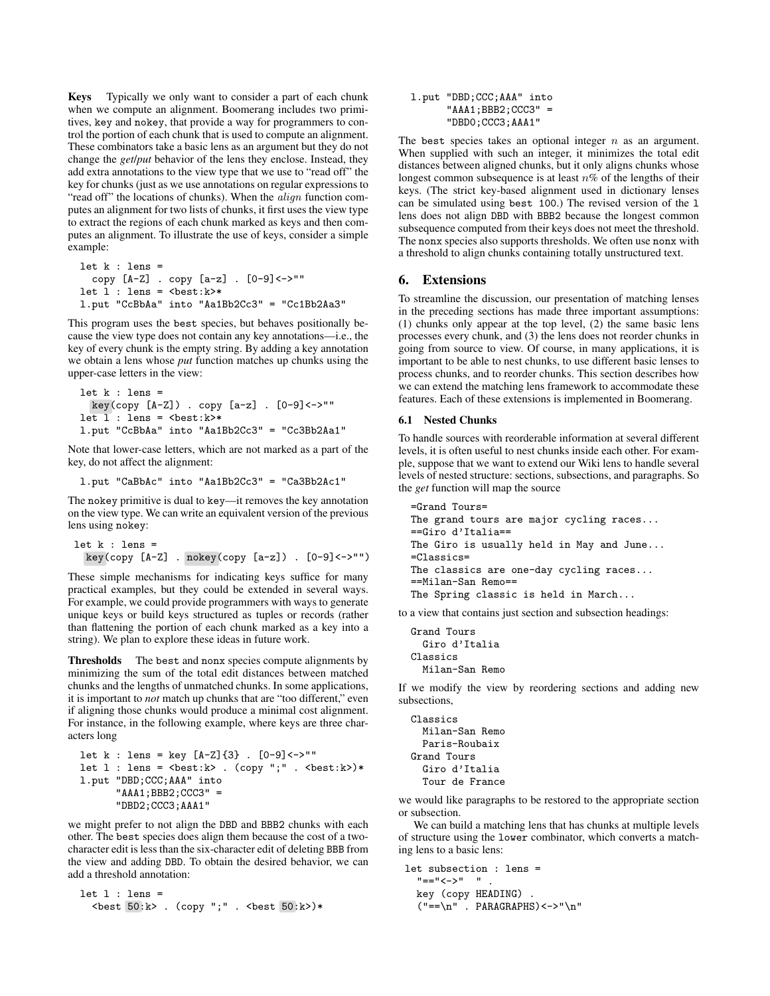Keys Typically we only want to consider a part of each chunk when we compute an alignment. Boomerang includes two primitives, key and nokey, that provide a way for programmers to control the portion of each chunk that is used to compute an alignment. These combinators take a basic lens as an argument but they do not change the *get*/*put* behavior of the lens they enclose. Instead, they add extra annotations to the view type that we use to "read off" the key for chunks (just as we use annotations on regular expressions to "read off" the locations of chunks). When the *align* function computes an alignment for two lists of chunks, it first uses the view type to extract the regions of each chunk marked as keys and then computes an alignment. To illustrate the use of keys, consider a simple example:

```
let k : lens =copy [A-Z] . copy [a-z] . [0-9]<->""
let l : lens = <b>best:k</b>l.put "CcBbAa" into "Aa1Bb2Cc3" = "Cc1Bb2Aa3"
```
This program uses the best species, but behaves positionally because the view type does not contain any key annotations—i.e., the key of every chunk is the empty string. By adding a key annotation we obtain a lens whose *put* function matches up chunks using the upper-case letters in the view:

```
let k : lens =.
.key(copy [A-Z]) . copy [a-z] . [0-9]<->""
let \overline{1} : lens = <br/> <br/>best:k>*
l.put "CcBbAa" into "Aa1Bb2Cc3" = "Cc3Bb2Aa1"
```
Note that lower-case letters, which are not marked as a part of the key, do not affect the alignment:

```
l.put "CaBbAc" into "Aa1Bb2Cc3" = "Ca3Bb2Ac1"
```
The nokey primitive is dual to key—it removes the key annotation on the view type. We can write an equivalent version of the previous lens using nokey:

```
let k : lens =key(copy [A-Z] . nokey(copy [a-z]) . [0-9]<->"")
```
These simple mechanisms for indicating keys suffice for many practical examples, but they could be extended in several ways. For example, we could provide programmers with ways to generate unique keys or build keys structured as tuples or records (rather than flattening the portion of each chunk marked as a key into a string). We plan to explore these ideas in future work.

Thresholds The best and nonx species compute alignments by minimizing the sum of the total edit distances between matched chunks and the lengths of unmatched chunks. In some applications, it is important to *not* match up chunks that are "too different," even if aligning those chunks would produce a minimal cost alignment. For instance, in the following example, where keys are three characters long

```
let k : lens = key [A-Z]{3} . [0-9]<->""let l : lens = <best:k> . (copy ";" . <best:k>)*
l.put "DBD;CCC;AAA" into
      "AAA1;BBB2;CCC3" ="DBD2;CCC3;AAA1"
```
we might prefer to not align the DBD and BBB2 chunks with each other. The best species does align them because the cost of a twocharacter edit is less than the six-character edit of deleting BBB from the view and adding DBD. To obtain the desired behavior, we can add a threshold annotation:

```
let 1 : lens =\text{ 50:} k . (copy ";" . \text{ 50:} k)*
```

```
l.put "DBD;CCC;AAA" into
      "AAA1;BBB2;CCC3" =
      "DBD0;CCC3;AAA1"
```
The best species takes an optional integer *n* as an argument. When supplied with such an integer, it minimizes the total edit distances between aligned chunks, but it only aligns chunks whose longest common subsequence is at least *n*% of the lengths of their keys. (The strict key-based alignment used in dictionary lenses can be simulated using best 100.) The revised version of the l lens does not align DBD with BBB2 because the longest common subsequence computed from their keys does not meet the threshold. The nonx species also supports thresholds. We often use nonx with a threshold to align chunks containing totally unstructured text.

# <span id="page-8-0"></span>6. Extensions

To streamline the discussion, our presentation of matching lenses in the preceding sections has made three important assumptions: (1) chunks only appear at the top level, (2) the same basic lens processes every chunk, and (3) the lens does not reorder chunks in going from source to view. Of course, in many applications, it is important to be able to nest chunks, to use different basic lenses to process chunks, and to reorder chunks. This section describes how we can extend the matching lens framework to accommodate these features. Each of these extensions is implemented in Boomerang.

#### 6.1 Nested Chunks

To handle sources with reorderable information at several different levels, it is often useful to nest chunks inside each other. For example, suppose that we want to extend our Wiki lens to handle several levels of nested structure: sections, subsections, and paragraphs. So the *get* function will map the source

```
=Grand Tours=
The grand tours are major cycling races...
==Giro d'Italia==
The Giro is usually held in May and June...
=Classics=
The classics are one-day cycling races...
==Milan-San Remo==
The Spring classic is held in March...
```
to a view that contains just section and subsection headings:

```
Grand Tours
  Giro d'Italia
Classics
  Milan-San Remo
```
If we modify the view by reordering sections and adding new subsections,

Classics Milan-San Remo Paris-Roubaix Grand Tours Giro d'Italia Tour de France

we would like paragraphs to be restored to the appropriate section or subsection.

We can build a matching lens that has chunks at multiple levels of structure using the lower combinator, which converts a matching lens to a basic lens:

```
let subsection : lens =
  "=="<-&gt" "
 key (copy HEADING) .
  (' ==\n' . PARAGRAPHS) <->"\n"
```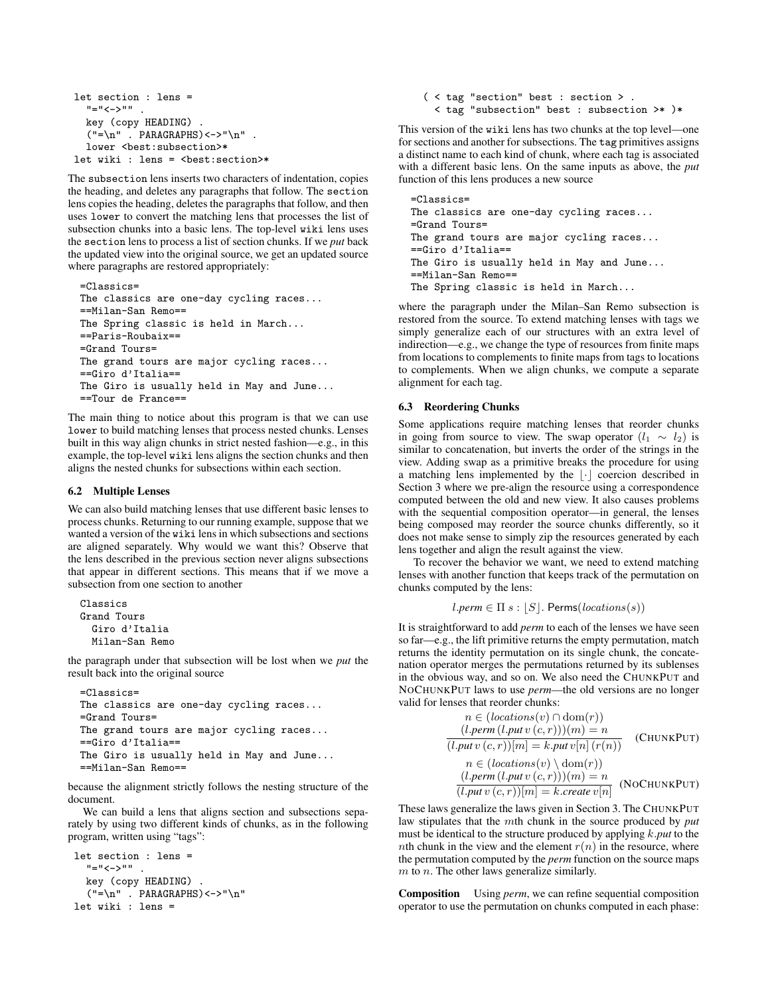```
let section : lens =
  "="<->"" .
  key (copy HEADING)
  ('='n''. PARAGRAPHS) < ->''\n' .lower <br/>best:subsection>*
let wiki : lens = <br/>best:section>*
```
The subsection lens inserts two characters of indentation, copies the heading, and deletes any paragraphs that follow. The section lens copies the heading, deletes the paragraphs that follow, and then uses lower to convert the matching lens that processes the list of subsection chunks into a basic lens. The top-level wiki lens uses the section lens to process a list of section chunks. If we *put* back the updated view into the original source, we get an updated source where paragraphs are restored appropriately:

```
=Classics=
The classics are one-day cycling races...
==Milan-San Remo==
The Spring classic is held in March...
==Paris-Roubaix==
=Grand Tours=
The grand tours are major cycling races...
==Giro d'Italia==
The Giro is usually held in May and June...
==Tour de France==
```
The main thing to notice about this program is that we can use lower to build matching lenses that process nested chunks. Lenses built in this way align chunks in strict nested fashion—e.g., in this example, the top-level wiki lens aligns the section chunks and then aligns the nested chunks for subsections within each section.

#### 6.2 Multiple Lenses

We can also build matching lenses that use different basic lenses to process chunks. Returning to our running example, suppose that we wanted a version of the wiki lens in which subsections and sections are aligned separately. Why would we want this? Observe that the lens described in the previous section never aligns subsections that appear in different sections. This means that if we move a subsection from one section to another

Classics Grand Tours Giro d'Italia Milan-San Remo

the paragraph under that subsection will be lost when we *put* the result back into the original source

```
=Classics=
The classics are one-day cycling races...
=Grand Tours=
The grand tours are major cycling races...
==Giro d'Italia==
The Giro is usually held in May and June...
==Milan-San Remo==
```
because the alignment strictly follows the nesting structure of the document.

We can build a lens that aligns section and subsections separately by using two different kinds of chunks, as in the following program, written using "tags":

```
let section : lens =
  "=" -" <- > ""key (copy HEADING) .
  ('='n' . PARAGRAPHS) <->''\n'let wiki : lens =
```
( < tag "section" best : section > . < tag "subsection" best : subsection >\* )\*

This version of the wiki lens has two chunks at the top level—one for sections and another for subsections. The tag primitives assigns a distinct name to each kind of chunk, where each tag is associated with a different basic lens. On the same inputs as above, the *put* function of this lens produces a new source

```
=Classics=
The classics are one-day cycling races...
=Grand Tours=
The grand tours are major cycling races...
==Giro d'Italia==
The Giro is usually held in May and June...
==Milan-San Remo==
The Spring classic is held in March...
```
where the paragraph under the Milan–San Remo subsection is restored from the source. To extend matching lenses with tags we simply generalize each of our structures with an extra level of indirection—e.g., we change the type of resources from finite maps from locations to complements to finite maps from tags to locations to complements. When we align chunks, we compute a separate alignment for each tag.

#### 6.3 Reordering Chunks

Some applications require matching lenses that reorder chunks in going from source to view. The swap operator  $(l_1 \sim l_2)$  is similar to concatenation, but inverts the order of the strings in the view. Adding swap as a primitive breaks the procedure for using a matching lens implemented by the *⌊·⌋* coercion described in Section [3](#page-2-1) where we pre-align the resource using a correspondence computed between the old and new view. It also causes problems with the sequential composition operator—in general, the lenses being composed may reorder the source chunks differently, so it does not make sense to simply zip the resources generated by each lens together and align the result against the view.

To recover the behavior we want, we need to extend matching lenses with another function that keeps track of the permutation on chunks computed by the lens:

$$
l
$$
. $perm \in \Pi s : [S]$ .  $Perms(locations(s))$ 

It is straightforward to add *perm* to each of the lenses we have seen so far—e.g., the lift primitive returns the empty permutation, match returns the identity permutation on its single chunk, the concatenation operator merges the permutations returned by its sublenses in the obvious way, and so on. We also need the CHUNKPUT and NOCHUNKPUT laws to use *perm*—the old versions are no longer valid for lenses that reorder chunks:

$$
n \in (locations(v) \cap dom(r))
$$
  
\n
$$
(l.perm (l.put v (c, r)))(m) = n
$$
  
\n
$$
(l.put v (c, r))[m] = k.put v[n] (r(n))
$$
  
\n
$$
n \in (locations(v) \cap dom(r))
$$
  
\n
$$
(l.perm (l.put v (c, r)))(m) = n
$$
  
\n
$$
(l.put v (c, r))[m] = k.create v[n]
$$
 (NoCHUNKPUT)

These laws generalize the laws given in Section [3.](#page-2-1) The CHUNKPUT law stipulates that the *m*th chunk in the source produced by *put* must be identical to the structure produced by applying *k.put* to the *n*th chunk in the view and the element  $r(n)$  in the resource, where the permutation computed by the *perm* function on the source maps *m* to *n*. The other laws generalize similarly.

Composition Using *perm*, we can refine sequential composition operator to use the permutation on chunks computed in each phase: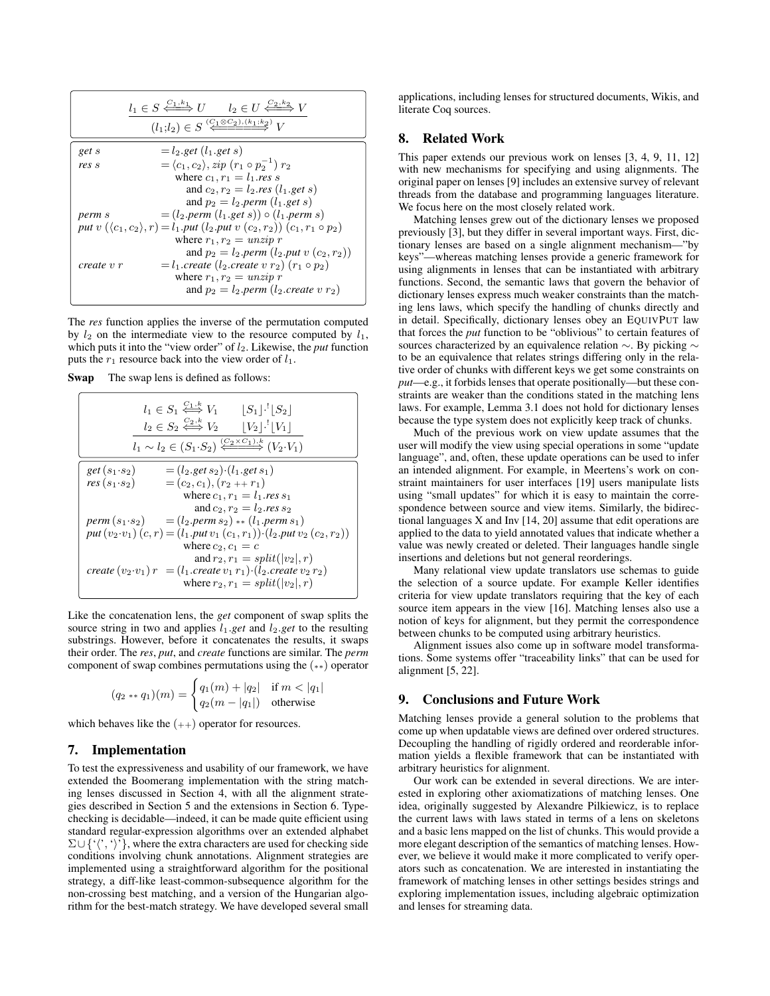| $l_1 \in S \xrightarrow{C_1,k_1} U \qquad l_2 \in U \xrightarrow{C_2,k_2} V$<br>$(l_1; l_2) \in S \stackrel{(C_1 \otimes C_2), (k_1; k_2)}{\xrightarrow{)}} V$ |
|----------------------------------------------------------------------------------------------------------------------------------------------------------------|
|                                                                                                                                                                |
| $= l_2.get(l_1.get s)$<br>get s                                                                                                                                |
| $=\langle c_1,c_2\rangle, zip (r_1\circ p_2^{-1}) r_2$<br>res s                                                                                                |
| where $c_1, r_1 = l_1$ res s                                                                                                                                   |
| and $c_2, r_2 = l_2$ res ( $l_1$ get s)                                                                                                                        |
| and $p_2 = l_2$ . perm (l <sub>1</sub> .get s)                                                                                                                 |
| $=(l_2.perm (l_1.get s)) \circ (l_1.perm s)$<br>perm s                                                                                                         |
| put $v((c_1, c_2), r) = l_1$ .put $(l_2$ .put $v(c_2, r_2))$ $(c_1, r_1 \circ p_2)$                                                                            |
| where $r_1, r_2 = unzip r$                                                                                                                                     |
| and $p_2 = l_2$ perm (l <sub>2</sub> put v (c <sub>2</sub> , r <sub>2</sub> ))                                                                                 |
| $=$ l <sub>1</sub> .create (l <sub>2</sub> .create v r <sub>2</sub> ) (r <sub>1</sub> $\circ$ p <sub>2</sub> )<br>create v r                                   |
| where $r_1, r_2 = unzip r$                                                                                                                                     |
| and $p_2 = l_2$ . perm (l <sub>2</sub> . create v r <sub>2</sub> )                                                                                             |

The *res* function applies the inverse of the permutation computed by  $l_2$  on the intermediate view to the resource computed by  $l_1$ , which puts it into the "view order" of *l*2. Likewise, the *put* function puts the  $r_1$  resource back into the view order of  $l_1$ .

Swap The swap lens is defined as follows:

$$
l_1 \in S_1 \xleftrightarrow{\sum_{1}^{C_1,k} V_1} \qquad [S_1] \cdot [S_2]
$$
\n
$$
\frac{l_2 \in S_2 \xleftrightarrow{\sum_{1}^{C_2,k} V_2} \qquad [V_2] \cdot [V_1]}
$$
\n
$$
l_1 \sim l_2 \in (S_1 \cdot S_2) \xleftrightarrow{\sum_{1}^{C_2 \times C_1}, k} (V_2 \cdot V_1)
$$
\n
$$
\frac{\text{get}(s_1 \cdot s_2)}{\text{res}(s_1 \cdot s_2)} = (l_2 \cdot \text{get}(s_2) \cdot (l_1 \cdot \text{get}(s_1))
$$
\n
$$
\text{where } c_1, r_1 = l_1 \cdot \text{res}(s_1)
$$
\n
$$
\text{where } c_1, r_1 = l_1 \cdot \text{res}(s_1)
$$
\n
$$
\text{and } c_2, r_2 = l_2 \cdot \text{res}(s_2)
$$
\n
$$
\text{perm}(s_1 \cdot s_2) = (l_2 \cdot \text{perm}(s_2) \cdot * (l_1 \cdot \text{perm}(s_1))
$$
\n
$$
\text{where } c_2, r_2 = c_2
$$
\n
$$
\text{perm}(v_2 \cdot v_1) (c, r) = (l_1 \cdot \text{put}(v_1 \cdot (c_1, r_1)) \cdot (l_2 \cdot \text{put}(v_2 \cdot (c_2, r_2)))
$$
\n
$$
\text{where } c_2, c_1 = c
$$
\n
$$
\text{and } r_2, r_1 = \text{split}(|v_2|, r)
$$
\n
$$
\text{where } r_2, r_1 = \text{split}(|v_2|, r)
$$

Like the concatenation lens, the *get* component of swap splits the source string in two and applies  $l_1$ *.get* and  $l_2$ *.get* to the resulting substrings. However, before it concatenates the results, it swaps their order. The *res*, *put*, and *create* functions are similar. The *perm* component of swap combines permutations using the (*∗∗*) operator

$$
(q_2 * q_1)(m) = \begin{cases} q_1(m) + |q_2| & \text{if } m < |q_1| \\ q_2(m - |q_1|) & \text{otherwise} \end{cases}
$$

which behaves like the  $(++)$  operator for resources.

## <span id="page-10-0"></span>7. Implementation

To test the expressiveness and usability of our framework, we have extended the Boomerang implementation with the string matching lenses discussed in Section [4,](#page-4-0) with all the alignment strategies described in Section [5](#page-7-0) and the extensions in Section [6.](#page-8-0) Typechecking is decidable—indeed, it can be made quite efficient using standard regular-expression algorithms over an extended alphabet Σ*∪ {*'*⟨*'*,* '*⟩*'*}*, where the extra characters are used for checking side conditions involving chunk annotations. Alignment strategies are implemented using a straightforward algorithm for the positional strategy, a diff-like least-common-subsequence algorithm for the non-crossing best matching, and a version of the Hungarian algorithm for the best-match strategy. We have developed several small

applications, including lenses for structured documents, Wikis, and literate Coq sources.

## <span id="page-10-1"></span>8. Related Work

This paper extends our previous work on lenses [\[3,](#page-11-3) [4,](#page-11-4) [9,](#page-11-5) [11,](#page-11-19) [12\]](#page-11-6) with new mechanisms for specifying and using alignments. The original paper on lenses [\[9\]](#page-11-5) includes an extensive survey of relevant threads from the database and programming languages literature. We focus here on the most closely related work.

Matching lenses grew out of the dictionary lenses we proposed previously [\[3\]](#page-11-3), but they differ in several important ways. First, dictionary lenses are based on a single alignment mechanism—"by keys"—whereas matching lenses provide a generic framework for using alignments in lenses that can be instantiated with arbitrary functions. Second, the semantic laws that govern the behavior of dictionary lenses express much weaker constraints than the matching lens laws, which specify the handling of chunks directly and in detail. Specifically, dictionary lenses obey an EQUIVPUT law that forces the *put* function to be "oblivious" to certain features of sources characterized by an equivalence relation *∼*. By picking *∼* to be an equivalence that relates strings differing only in the relative order of chunks with different keys we get some constraints on *put*—e.g., it forbids lenses that operate positionally—but these constraints are weaker than the conditions stated in the matching lens laws. For example, Lemma [3.1](#page-4-2) does not hold for dictionary lenses because the type system does not explicitly keep track of chunks.

Much of the previous work on view update assumes that the user will modify the view using special operations in some "update language", and, often, these update operations can be used to infer an intended alignment. For example, in Meertens's work on constraint maintainers for user interfaces [\[19\]](#page-11-9) users manipulate lists using "small updates" for which it is easy to maintain the correspondence between source and view items. Similarly, the bidirectional languages X and Inv [\[14,](#page-11-13) [20\]](#page-11-10) assume that edit operations are applied to the data to yield annotated values that indicate whether a value was newly created or deleted. Their languages handle single insertions and deletions but not general reorderings.

Many relational view update translators use schemas to guide the selection of a source update. For example Keller identifies criteria for view update translators requiring that the key of each source item appears in the view [\[16\]](#page-11-24). Matching lenses also use a notion of keys for alignment, but they permit the correspondence between chunks to be computed using arbitrary heuristics.

Alignment issues also come up in software model transformations. Some systems offer "traceability links" that can be used for alignment [\[5,](#page-11-20) [22\]](#page-11-15).

#### <span id="page-10-2"></span>9. Conclusions and Future Work

Matching lenses provide a general solution to the problems that come up when updatable views are defined over ordered structures. Decoupling the handling of rigidly ordered and reorderable information yields a flexible framework that can be instantiated with arbitrary heuristics for alignment.

Our work can be extended in several directions. We are interested in exploring other axiomatizations of matching lenses. One idea, originally suggested by Alexandre Pilkiewicz, is to replace the current laws with laws stated in terms of a lens on skeletons and a basic lens mapped on the list of chunks. This would provide a more elegant description of the semantics of matching lenses. However, we believe it would make it more complicated to verify operators such as concatenation. We are interested in instantiating the framework of matching lenses in other settings besides strings and exploring implementation issues, including algebraic optimization and lenses for streaming data.